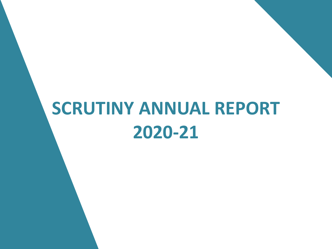## **SCRUTINY ANNUAL REPORT 2020-21**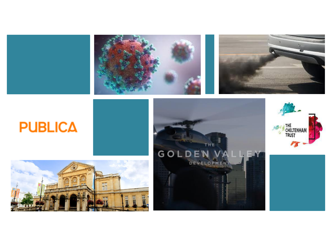



### **PUBLICA**





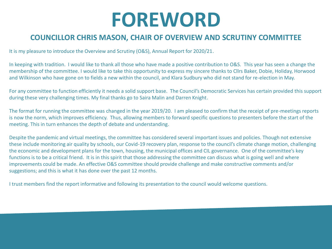## **FOREWORD**

#### **COUNCILLOR CHRIS MASON, CHAIR OF OVERVIEW AND SCRUTINY COMMITTEE**

It is my pleasure to introduce the Overview and Scrutiny (O&S), Annual Report for 2020/21.

In keeping with tradition. I would like to thank all those who have made a positive contribution to O&S. This year has seen a change the membership of the committee. I would like to take this opportunity to express my sincere thanks to Cllrs Baker, Dobie, Holiday, Horwood and Wilkinson who have gone on to fields a new within the council, and Klara Sudbury who did not stand for re-election in May.

For any committee to function efficiently it needs a solid support base. The Council's Democratic Services has certain provided this support during these very challenging times. My final thanks go to Saira Malin and Darren Knight.

The format for running the committee was changed in the year 2019/20. I am pleased to confirm that the receipt of pre-meetings reports is now the norm, which improves efficiency. Thus, allowing members to forward specific questions to presenters before the start of the meeting. This in turn enhances the depth of debate and understanding.

Despite the pandemic and virtual meetings, the committee has considered several important issues and policies. Though not extensive these include monitoring air quality by schools, our Covid-19 recovery plan, response to the council's climate change motion, challenging the economic and development plans for the town, housing, the municipal offices and CIL governance. One of the committee's key functions is to be a critical friend. It is in this spirit that those addressing the committee can discuss what is going well and where improvements could be made. An effective O&S committee should provide challenge and make constructive comments and/or suggestions; and this is what it has done over the past 12 months.

I trust members find the report informative and following its presentation to the council would welcome questions.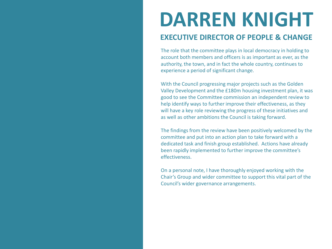## **DARREN KNIGHT**

#### **EXECUTIVE DIRECTOR OF PEOPLE & CHANGE**

The role that the committee plays in local democracy in holding to account both members and officers is as important as ever, as the authority, the town, and in fact the whole country, continues to experience a period of significant change.

With the Council progressing major projects such as the Golden Valley Development and the £180m housing investment plan, it was good to see the Committee commission an independent review to help identify ways to further improve their effectiveness, as they will have a key role reviewing the progress of these initiatives and as well as other ambitions the Council is taking forward.

The findings from the review have been positively welcomed by the committee and put into an action plan to take forward with a dedicated task and finish group established. Actions have already been rapidly implemented to further improve the committee's effectiveness.

On a personal note, I have thoroughly enjoyed working with the Chair's Group and wider committee to support this vital part of the Council's wider governance arrangements.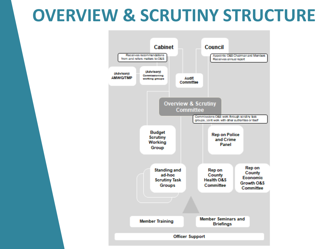### **OVERVIEW & SCRUTINY STRUCTURE**

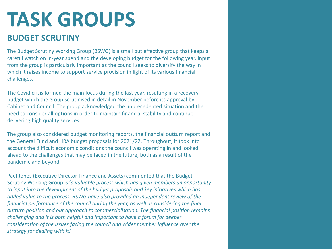# **TASK GROUPS**

#### **BUDGET SCRUTINY**

The Budget Scrutiny Working Group (BSWG) is a small but effective group that keeps a careful watch on in-year spend and the developing budget for the following year. Input from the group is particularly important as the council seeks to diversify the way in which it raises income to support service provision in light of its various financial challenges.

The Covid crisis formed the main focus during the last year, resulting in a recovery budget which the group scrutinised in detail in November before its approval by Cabinet and Council. The group acknowledged the unprecedented situation and the need to consider all options in order to maintain financial stability and continue delivering high quality services.

The group also considered budget monitoring reports, the financial outturn report and the General Fund and HRA budget proposals for 2021/22. Throughout, it took into account the difficult economic conditions the council was operating in and looked ahead to the challenges that may be faced in the future, both as a result of the pandemic and beyond.

Paul Jones (Executive Director Finance and Assets) commented that the Budget Scrutiny Working Group is '*a valuable process which has given members an opportunity to input into the development of the budget proposals and key initiatives which has added value to the process. BSWG have also provided an independent review of the financial performance of the council during the year, as well as considering the final outturn position and our approach to commercialisation. The financial position remains challenging and it is both helpful and important to have a forum for deeper consideration of the issues facing the council and wider member influence over the strategy for dealing with it*.'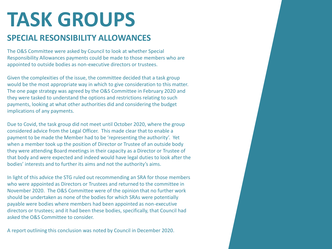# **TASK GROUPS**

### **SPECIAL RESONSIBILITY ALLOWANCES**

The O&S Committee were asked by Council to look at whether Special Responsibility Allowances payments could be made to those members who are appointed to outside bodies as non-executive directors or trustees.

Given the complexities of the issue, the committee decided that a task group would be the most appropriate way in which to give consideration to this matter. The one page strategy was agreed by the O&S Committee in February 2020 and they were tasked to understand the options and restrictions relating to such payments, looking at what other authorities did and considering the budget implications of any payments.

Due to Covid, the task group did not meet until October 2020, where the group considered advice from the Legal Officer. This made clear that to enable a payment to be made the Member had to be 'representing the authority'. Yet when a member took up the position of Director or Trustee of an outside body they were attending Board meetings in their capacity as a Director or Trustee of that body and were expected and indeed would have legal duties to look after the bodies' interests and to further its aims and not the authority's aims.

In light of this advice the STG ruled out recommending an SRA for those members who were appointed as Directors or Trustees and returned to the committee in November 2020. The O&S Committee were of the opinion that no further work should be undertaken as none of the bodies for which SRAs were potentially payable were bodies where members had been appointed as non-executive directors or trustees; and it had been these bodies, specifically, that Council had asked the O&S Committee to consider.

A report outlining this conclusion was noted by Council in December 2020.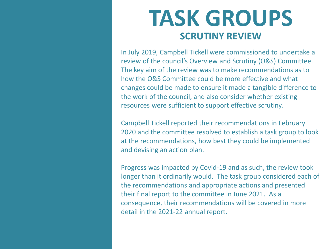### **TASK GROUPS SCRUTINY REVIEW**

In July 2019, Campbell Tickell were commissioned to undertake a review of the council's Overview and Scrutiny (O&S) Committee. The key aim of the review was to make recommendations as to how the O&S Committee could be more effective and what changes could be made to ensure it made a tangible difference to the work of the council, and also consider whether existing resources were sufficient to support effective scrutiny.

Campbell Tickell reported their recommendations in February 2020 and the committee resolved to establish a task group to look at the recommendations, how best they could be implemented and devising an action plan.

Progress was impacted by Covid-19 and as such, the review took longer than it ordinarily would. The task group considered each of the recommendations and appropriate actions and presented their final report to the committee in June 2021. As a consequence, their recommendations will be covered in more detail in the 2021-22 annual report.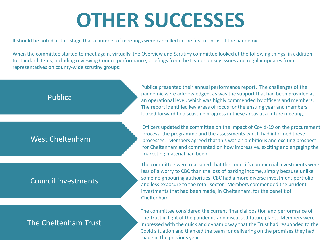## **OTHER SUCCESSES**

It should be noted at this stage that a number of meetings were cancelled in the first months of the pandemic.

When the committee started to meet again, virtually, the Overview and Scrutiny committee looked at the following things, in addition to standard items, including reviewing Council performance, briefings from the Leader on key issues and regular updates from representatives on county-wide scrutiny groups:



Publica presented their annual performance report. The challenges of the pandemic were acknowledged, as was the support that had been provided at an operational level, which was highly commended by officers and members. The report identified key areas of focus for the ensuing year and members looked forward to discussing progress in these areas at a future meeting.

Officers updated the committee on the impact of Covid-19 on the procurement process, the programme and the assessments which had informed these processes. Members agreed that this was an ambitious and exciting prospect for Cheltenham and commented on how impressive, exciting and engaging the marketing material had been.

The committee were reassured that the council's commercial investments were less of a worry to CBC than the loss of parking income, simply because unlike some neighbouring authorities, CBC had a more diverse investment portfolio and less exposure to the retail sector. Members commended the prudent investments that had been made, in Cheltenham, for the benefit of Cheltenham.

The committee considered the current financial position and performance of The Trust in light of the pandemic and discussed future plans. Members were impressed with the quick and dynamic way that the Trust had responded to the Covid situation and thanked the team for delivering on the promises they had made in the previous year.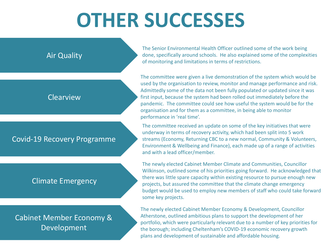# **OTHER SUCCESSES**



The Senior Environmental Health Officer outlined some of the work being done, specifically around schools. He also explained some of the complexities of monitoring and limitations in terms of restrictions.

The committee were given a live demonstration of the system which would be used by the organisation to review, monitor and manage performance and risk. Admittedly some of the data not been fully populated or updated since it was first input, because the system had been rolled out immediately before the pandemic. The committee could see how useful the system would be for the organisation and for them as a committee, in being able to monitor performance in 'real time'.

The committee received an update on some of the key initiatives that were underway in terms of recovery activity, which had been split into 5 work streams (Economy, Returning CBC to a new normal, Community & Volunteers, Environment & Wellbeing and Finance), each made up of a range of activities and with a lead officer/member.

The newly elected Cabinet Member Climate and Communities, Councillor Wilkinson, outlined some of his priorities going forward. He acknowledged that there was little spare capacity within existing resource to pursue enough new projects, but assured the committee that the climate change emergency budget would be used to employ new members of staff who could take forward some key projects.

The newly elected Cabinet Member Economy & Development, Councillor Atherstone, outlined ambitious plans to support the development of her portfolio, which were particularly relevant due to a number of key priorities for the borough; including Cheltenham's COVID-19 economic recovery growth plans and development of sustainable and affordable housing.

#### Cabinet Member Economy & Development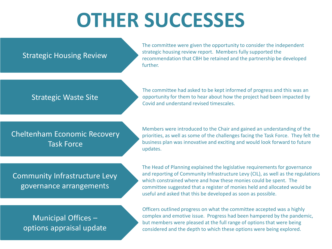# **OTHER SUCCESSES**

#### Strategic Housing Review

The committee were given the opportunity to consider the independent strategic housing review report. Members fully supported the recommendation that CBH be retained and the partnership be developed further.

#### Strategic Waste Site

The committee had asked to be kept informed of progress and this was an opportunity for them to hear about how the project had been impacted by Covid and understand revised timescales.

#### Cheltenham Economic Recovery Task Force

Members were introduced to the Chair and gained an understanding of the priorities, as well as some of the challenges facing the Task Force. They felt the business plan was innovative and exciting and would look forward to future updates.

#### Community Infrastructure Levy governance arrangements

The Head of Planning explained the legislative requirements for governance and reporting of Community Infrastructure Levy (CIL), as well as the regulations which constrained where and how these monies could be spent. The committee suggested that a register of monies held and allocated would be useful and asked that this be developed as soon as possible.

#### Municipal Offices – options appraisal update

Officers outlined progress on what the committee accepted was a highly complex and emotive issue. Progress had been hampered by the pandemic, but members were pleased at the full range of options that were being considered and the depth to which these options were being explored.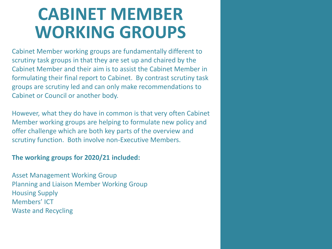### **CABINET MEMBER WORKING GROUPS**

Cabinet Member working groups are fundamentally different to scrutiny task groups in that they are set up and chaired by the Cabinet Member and their aim is to assist the Cabinet Member in formulating their final report to Cabinet. By contrast scrutiny task groups are scrutiny led and can only make recommendations to Cabinet or Council or another body.

However, what they do have in common is that very often Cabinet Member working groups are helping to formulate new policy and offer challenge which are both key parts of the overview and scrutiny function. Both involve non-Executive Members.

#### **The working groups for 2020/21 included:**

Asset Management Working Group Planning and Liaison Member Working Group Housing Supply Members' ICT Waste and Recycling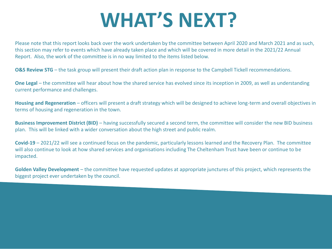# **WHAT'S NEXT?**

Please note that this report looks back over the work undertaken by the committee between April 2020 and March 2021 and as such, this section may refer to events which have already taken place and which will be covered in more detail in the 2021/22 Annual Report. Also, the work of the committee is in no way limited to the items listed below.

**O&S Review STG** – the task group will present their draft action plan in response to the Campbell Tickell recommendations.

**One Legal** – the committee will hear about how the shared service has evolved since its inception in 2009, as well as understanding current performance and challenges.

**Housing and Regeneration** – officers will present a draft strategy which will be designed to achieve long-term and overall objectives in terms of housing and regeneration in the town.

**Business Improvement District (BID)** – having successfully secured a second term, the committee will consider the new BID business plan. This will be linked with a wider conversation about the high street and public realm.

**Covid-19** – 2021/22 will see a continued focus on the pandemic, particularly lessons learned and the Recovery Plan. The committee will also continue to look at how shared services and organisations including The Cheltenham Trust have been or continue to be impacted.

**Golden Valley Development** – the committee have requested updates at appropriate junctures of this project, which represents the biggest project ever undertaken by the council.